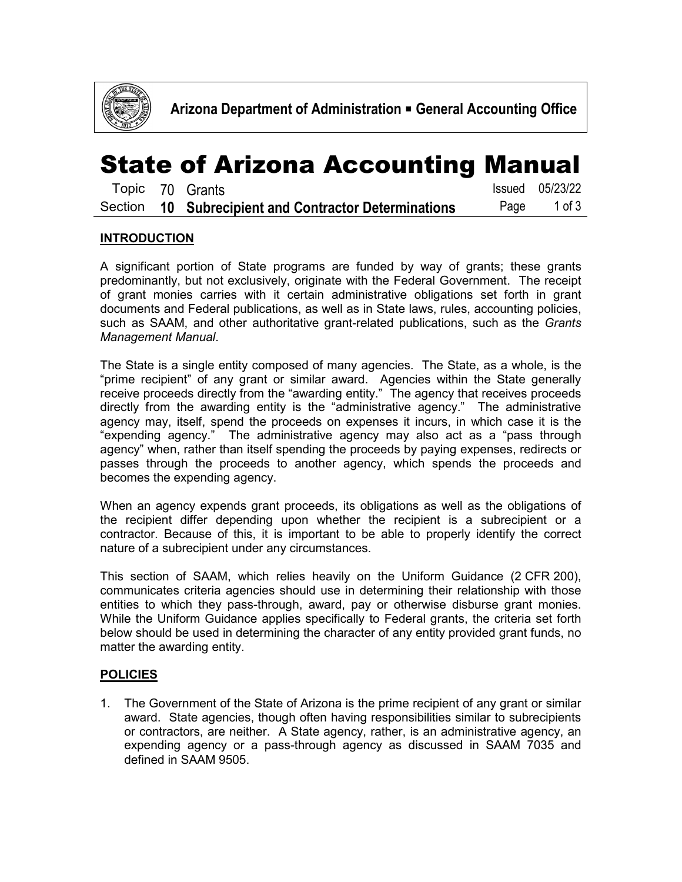

### State of Arizona Accounting Manual

|  | Topic 70 Grants                                       | Issued 05/23/22 |
|--|-------------------------------------------------------|-----------------|
|  | Section 10 Subrecipient and Contractor Determinations | Page 1 of 3     |

### **INTRODUCTION**

A significant portion of State programs are funded by way of grants; these grants predominantly, but not exclusively, originate with the Federal Government. The receipt of grant monies carries with it certain administrative obligations set forth in grant documents and Federal publications, as well as in State laws, rules, accounting policies, such as SAAM, and other authoritative grant-related publications, such as the *Grants Management Manual*.

The State is a single entity composed of many agencies. The State, as a whole, is the "prime recipient" of any grant or similar award. Agencies within the State generally receive proceeds directly from the "awarding entity." The agency that receives proceeds directly from the awarding entity is the "administrative agency." The administrative agency may, itself, spend the proceeds on expenses it incurs, in which case it is the "expending agency." The administrative agency may also act as a "pass through agency" when, rather than itself spending the proceeds by paying expenses, redirects or passes through the proceeds to another agency, which spends the proceeds and becomes the expending agency.

When an agency expends grant proceeds, its obligations as well as the obligations of the recipient differ depending upon whether the recipient is a subrecipient or a contractor. Because of this, it is important to be able to properly identify the correct nature of a subrecipient under any circumstances.

This section of SAAM, which relies heavily on the Uniform Guidance (2 CFR 200), communicates criteria agencies should use in determining their relationship with those entities to which they pass-through, award, pay or otherwise disburse grant monies. While the Uniform Guidance applies specifically to Federal grants, the criteria set forth below should be used in determining the character of any entity provided grant funds, no matter the awarding entity.

#### **POLICIES**

1. The Government of the State of Arizona is the prime recipient of any grant or similar award. State agencies, though often having responsibilities similar to subrecipients or contractors, are neither. A State agency, rather, is an administrative agency, an expending agency or a pass-through agency as discussed in SAAM 7035 and defined in SAAM 9505.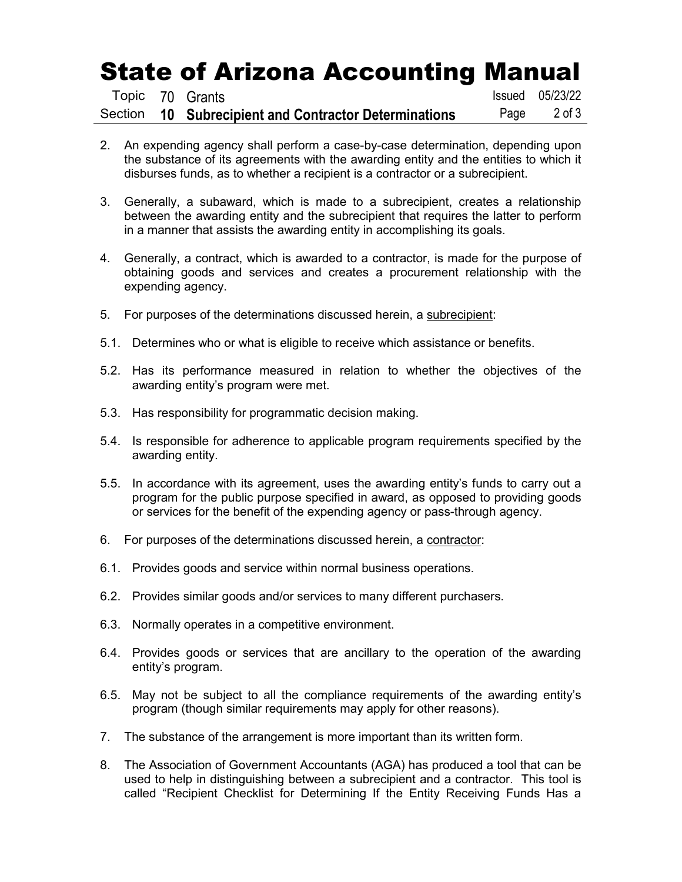# State of Arizona Accounting Manual

|  | Topic 70 Grants                                       |      | Issued 05/23/22 |
|--|-------------------------------------------------------|------|-----------------|
|  | Section 10 Subrecipient and Contractor Determinations | Page | 2 of 3          |

- 2. An expending agency shall perform a case-by-case determination, depending upon the substance of its agreements with the awarding entity and the entities to which it disburses funds, as to whether a recipient is a contractor or a subrecipient.
- 3. Generally, a subaward, which is made to a subrecipient, creates a relationship between the awarding entity and the subrecipient that requires the latter to perform in a manner that assists the awarding entity in accomplishing its goals.
- 4. Generally, a contract, which is awarded to a contractor, is made for the purpose of obtaining goods and services and creates a procurement relationship with the expending agency.
- 5. For purposes of the determinations discussed herein, a subrecipient:
- 5.1. Determines who or what is eligible to receive which assistance or benefits.
- 5.2. Has its performance measured in relation to whether the objectives of the awarding entity's program were met.
- 5.3. Has responsibility for programmatic decision making.
- 5.4. Is responsible for adherence to applicable program requirements specified by the awarding entity.
- 5.5. In accordance with its agreement, uses the awarding entity's funds to carry out a program for the public purpose specified in award, as opposed to providing goods or services for the benefit of the expending agency or pass-through agency.
- 6. For purposes of the determinations discussed herein, a contractor:
- 6.1. Provides goods and service within normal business operations.
- 6.2. Provides similar goods and/or services to many different purchasers.
- 6.3. Normally operates in a competitive environment.
- 6.4. Provides goods or services that are ancillary to the operation of the awarding entity's program.
- 6.5. May not be subject to all the compliance requirements of the awarding entity's program (though similar requirements may apply for other reasons).
- 7. The substance of the arrangement is more important than its written form.
- 8. The Association of Government Accountants (AGA) has produced a tool that can be used to help in distinguishing between a subrecipient and a contractor. This tool is called "Recipient Checklist for Determining If the Entity Receiving Funds Has a